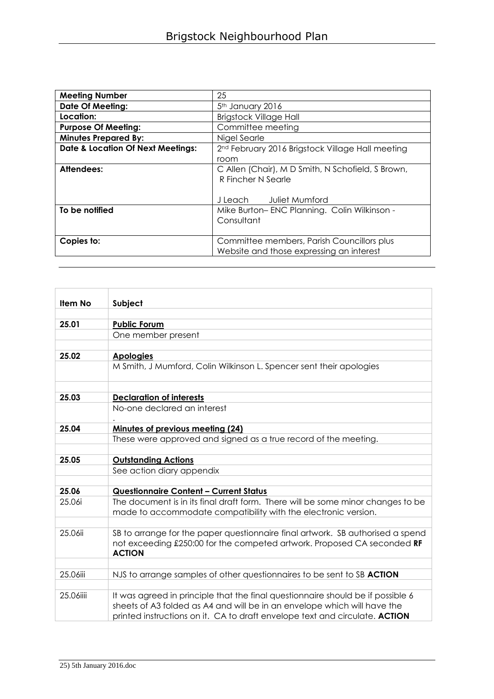| <b>Meeting Number</b>                        | 25                                                                                     |  |  |  |
|----------------------------------------------|----------------------------------------------------------------------------------------|--|--|--|
| <b>Date Of Meeting:</b>                      | 5th January 2016                                                                       |  |  |  |
| Location:                                    | <b>Brigstock Village Hall</b>                                                          |  |  |  |
| <b>Purpose Of Meeting:</b>                   | Committee meeting                                                                      |  |  |  |
| <b>Minutes Prepared By:</b>                  | Nigel Searle                                                                           |  |  |  |
| <b>Date &amp; Location Of Next Meetings:</b> | 2 <sup>nd</sup> February 2016 Brigstock Village Hall meeting                           |  |  |  |
|                                              | room                                                                                   |  |  |  |
| Attendees:                                   | C Allen (Chair), M D Smith, N Schofield, S Brown,<br>R Fincher N Searle                |  |  |  |
|                                              | J Leach Juliet Mumford                                                                 |  |  |  |
| To be notified                               | Mike Burton-ENC Planning. Colin Wilkinson -<br>Consultant                              |  |  |  |
| Copies to:                                   | Committee members, Parish Councillors plus<br>Website and those expressing an interest |  |  |  |

| Item No   | Subject                                                                                                                                                                                                                                    |
|-----------|--------------------------------------------------------------------------------------------------------------------------------------------------------------------------------------------------------------------------------------------|
|           |                                                                                                                                                                                                                                            |
| 25.01     | <b>Public Forum</b>                                                                                                                                                                                                                        |
|           | One member present                                                                                                                                                                                                                         |
|           |                                                                                                                                                                                                                                            |
| 25.02     | <b>Apologies</b>                                                                                                                                                                                                                           |
|           | M Smith, J Mumford, Colin Wilkinson L. Spencer sent their apologies                                                                                                                                                                        |
|           |                                                                                                                                                                                                                                            |
| 25.03     | <b>Declaration of interests</b>                                                                                                                                                                                                            |
|           | No-one declared an interest                                                                                                                                                                                                                |
| 25.04     | Minutes of previous meeting (24)                                                                                                                                                                                                           |
|           | These were approved and signed as a true record of the meeting.                                                                                                                                                                            |
|           |                                                                                                                                                                                                                                            |
| 25.05     | <b>Outstanding Actions</b>                                                                                                                                                                                                                 |
|           | See action diary appendix                                                                                                                                                                                                                  |
|           |                                                                                                                                                                                                                                            |
| 25.06     | <b>Questionnaire Content - Current Status</b>                                                                                                                                                                                              |
| 25.06i    | The document is in its final draft form. There will be some minor changes to be                                                                                                                                                            |
|           | made to accommodate compatibility with the electronic version.                                                                                                                                                                             |
|           |                                                                                                                                                                                                                                            |
| 25.06ii   | SB to arrange for the paper questionnaire final artwork. SB authorised a spend<br>not exceeding £250:00 for the competed artwork. Proposed CA seconded RF<br><b>ACTION</b>                                                                 |
|           |                                                                                                                                                                                                                                            |
| 25.06iii  | NJS to arrange samples of other questionnaires to be sent to SB ACTION                                                                                                                                                                     |
|           |                                                                                                                                                                                                                                            |
| 25.06iiii | It was agreed in principle that the final questionnaire should be if possible 6<br>sheets of A3 folded as A4 and will be in an envelope which will have the<br>printed instructions on it. CA to draft envelope text and circulate. ACTION |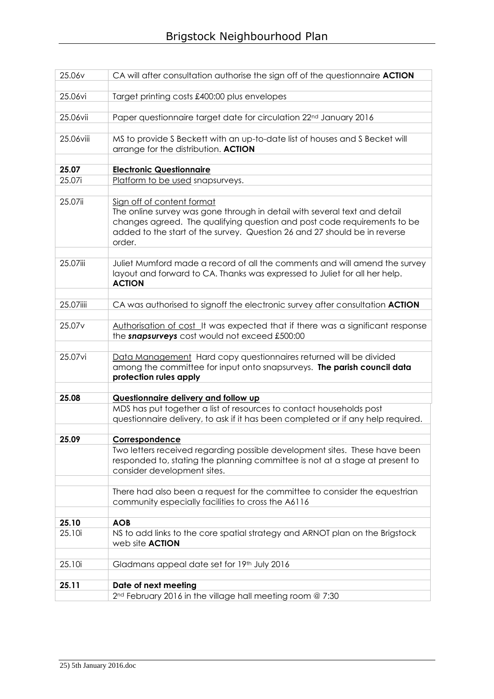| 25.06v             | CA will after consultation authorise the sign off of the questionnaire <b>ACTION</b>                                                                                                                                                                                       |
|--------------------|----------------------------------------------------------------------------------------------------------------------------------------------------------------------------------------------------------------------------------------------------------------------------|
|                    |                                                                                                                                                                                                                                                                            |
| 25.06vi            | Target printing costs £400:00 plus envelopes                                                                                                                                                                                                                               |
| 25.06vii           | Paper questionnaire target date for circulation 22 <sup>nd</sup> January 2016                                                                                                                                                                                              |
|                    |                                                                                                                                                                                                                                                                            |
| 25.06viii          | MS to provide S Beckett with an up-to-date list of houses and S Becket will<br>arrange for the distribution. ACTION                                                                                                                                                        |
| 25.07              | <b>Electronic Questionnaire</b>                                                                                                                                                                                                                                            |
| 25.07i             | Platform to be used snapsurveys.                                                                                                                                                                                                                                           |
|                    |                                                                                                                                                                                                                                                                            |
| 25.07ii            | Sign off of content format<br>The online survey was gone through in detail with several text and detail<br>changes agreed. The qualifying question and post code requirements to be<br>added to the start of the survey. Question 26 and 27 should be in reverse<br>order. |
| 25.07iii           | Juliet Mumford made a record of all the comments and will amend the survey<br>layout and forward to CA. Thanks was expressed to Juliet for all her help.<br><b>ACTION</b>                                                                                                  |
|                    |                                                                                                                                                                                                                                                                            |
| 25.07iiii          | CA was authorised to signoff the electronic survey after consultation ACTION                                                                                                                                                                                               |
| 25.07 <sub>v</sub> | Authorisation of cost It was expected that if there was a significant response<br>the snapsurveys cost would not exceed £500:00                                                                                                                                            |
| 25.07vi            | Data Management Hard copy questionnaires returned will be divided<br>among the committee for input onto snapsurveys. The parish council data<br>protection rules apply                                                                                                     |
|                    |                                                                                                                                                                                                                                                                            |
| 25.08              | Questionnaire delivery and follow up                                                                                                                                                                                                                                       |
|                    | MDS has put together a list of resources to contact households post<br>questionnaire delivery, to ask if it has been completed or if any help required.                                                                                                                    |
| 25.09              | Correspondence                                                                                                                                                                                                                                                             |
|                    | Two letters received regarding possible development sites. These have been<br>responded to, stating the planning committee is not at a stage at present to<br>consider development sites.                                                                                  |
|                    | There had also been a request for the committee to consider the equestrian<br>community especially facilities to cross the A6116                                                                                                                                           |
| 25.10              | <b>AOB</b>                                                                                                                                                                                                                                                                 |
| 25.10i             | NS to add links to the core spatial strategy and ARNOT plan on the Brigstock<br>web site <b>ACTION</b>                                                                                                                                                                     |
|                    |                                                                                                                                                                                                                                                                            |
| 25.10i             | Gladmans appeal date set for 19th July 2016                                                                                                                                                                                                                                |
| 25.11              | Date of next meeting                                                                                                                                                                                                                                                       |
|                    | 2 <sup>nd</sup> February 2016 in the village hall meeting room @ 7:30                                                                                                                                                                                                      |
|                    |                                                                                                                                                                                                                                                                            |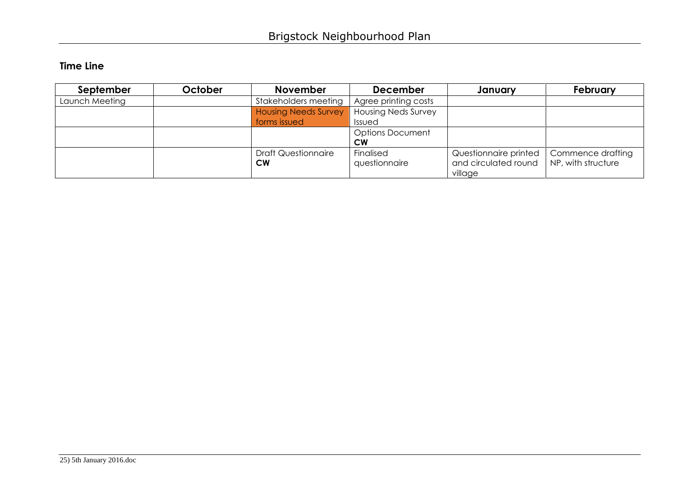## **Time Line**

| September      | October | <b>November</b>             | <b>December</b>            | January               | February           |
|----------------|---------|-----------------------------|----------------------------|-----------------------|--------------------|
| Launch Meeting |         | Stakeholders meeting        | Agree printing costs       |                       |                    |
|                |         | <b>Housing Needs Survey</b> | <b>Housing Neds Survey</b> |                       |                    |
|                |         | forms issued                | Issued                     |                       |                    |
|                |         |                             | <b>Options Document</b>    |                       |                    |
|                |         |                             | <b>CW</b>                  |                       |                    |
|                |         | <b>Draft Questionnaire</b>  | Finalised                  | Questionnaire printed | Commence drafting  |
|                |         | <b>CW</b>                   | questionnaire              | and circulated round  | NP, with structure |
|                |         |                             |                            | village               |                    |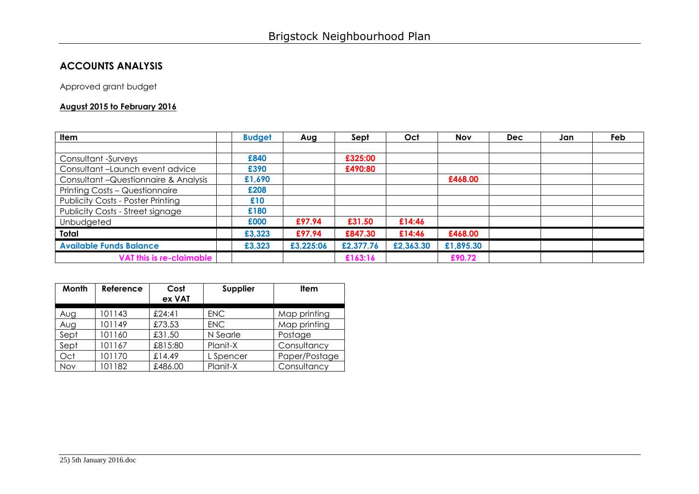## **ACCOUNTS ANALYSIS**

Approved grant budget

## **August 2015 to February 2016**

| <b>Item</b>                              | <b>Budget</b> | Aug       | Sept      | Oct       | <b>Nov</b> | <b>Dec</b> | Jan | Feb |
|------------------------------------------|---------------|-----------|-----------|-----------|------------|------------|-----|-----|
|                                          |               |           |           |           |            |            |     |     |
| Consultant -Surveys                      | £840          |           | £325:00   |           |            |            |     |     |
| Consultant-Launch event advice           | £390          |           | £490:80   |           |            |            |     |     |
| Consultant - Questionnaire & Analysis    | £1,690        |           |           |           | £468.00    |            |     |     |
| Printing Costs - Questionnaire           | £208          |           |           |           |            |            |     |     |
| <b>Publicity Costs - Poster Printing</b> | £10           |           |           |           |            |            |     |     |
| Publicity Costs - Street signage         | £180          |           |           |           |            |            |     |     |
| Unbudgeted                               | £000          | £97.94    | £31.50    | £14:46    |            |            |     |     |
| Total                                    | £3,323        | £97.94    | £847.30   | £14:46    | £468.00    |            |     |     |
| <b>Available Funds Balance</b>           | £3,323        | £3,225:06 | £2,377.76 | £2,363.30 | £1,895.30  |            |     |     |
| VAT this is re-claimable                 |               |           | £163:16   |           | £90.72     |            |     |     |

| Month | Reference | Cost<br>ex VAT | Supplier   | <b>Item</b>   |
|-------|-----------|----------------|------------|---------------|
| Aug   | 101143    | £24:41         | <b>ENC</b> | Map printing  |
| Aug   | 101149    | £73.53         | <b>ENC</b> | Map printing  |
| Sept  | 101160    | £31.50         | N Searle   | Postage       |
| Sept  | 101167    | £815:80        | Planit-X   | Consultancy   |
| Oct   | 101170    | £14.49         | L Spencer  | Paper/Postage |
| Nov   | 101182    | £486.00        | Planit-X   | Consultancy   |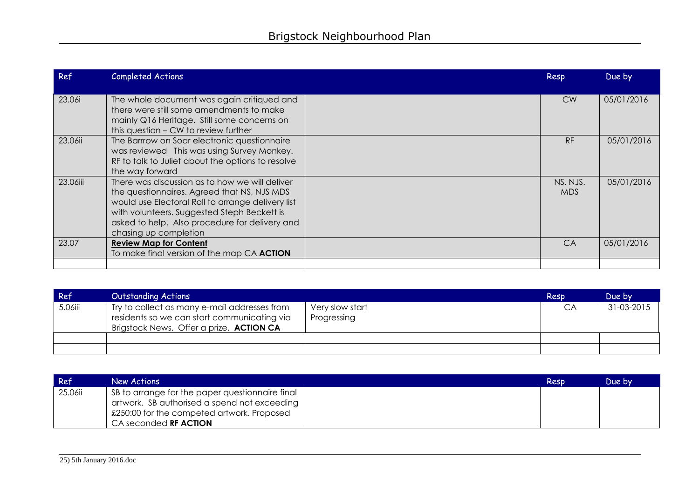| Ref      | <b>Completed Actions</b>                                                                                                                                                                                                                                                     | Resp             | Due by     |
|----------|------------------------------------------------------------------------------------------------------------------------------------------------------------------------------------------------------------------------------------------------------------------------------|------------------|------------|
| 23.06i   | The whole document was again critiqued and<br>there were still some amendments to make<br>mainly Q16 Heritage. Still some concerns on<br>this question – CW to review further                                                                                                | <b>CW</b>        | 05/01/2016 |
| 23.06ii  | The Barrrow on Soar electronic questionnaire<br>was reviewed This was using Survey Monkey.<br>RF to talk to Juliet about the options to resolve<br>the way forward                                                                                                           | <b>RF</b>        | 05/01/2016 |
| 23.06iii | There was discussion as to how we will deliver<br>the questionnaires. Agreed that NS, NJS MDS<br>would use Electoral Roll to arrange delivery list<br>with volunteers. Suggested Steph Beckett is<br>asked to help. Also procedure for delivery and<br>chasing up completion | NS. NJS.<br>MDS. | 05/01/2016 |
| 23.07    | <b>Review Map for Content</b><br>To make final version of the map CA ACTION                                                                                                                                                                                                  | CA               | 05/01/2016 |
|          |                                                                                                                                                                                                                                                                              |                  |            |

| Ref     | <b>Outstanding Actions</b>                                                                                                                     |                                | Resp | Due by     |
|---------|------------------------------------------------------------------------------------------------------------------------------------------------|--------------------------------|------|------------|
| 5.06iii | Try to collect as many e-mail addresses from<br>residents so we can start communicating via<br>Brigstock News. Offer a prize. <b>ACTION CA</b> | Very slow start<br>Progressing | CA   | 31-03-2015 |
|         |                                                                                                                                                |                                |      |            |
|         |                                                                                                                                                |                                |      |            |

| Ref     | New Actions                                                                                                                                                                     | Resp | Due by |
|---------|---------------------------------------------------------------------------------------------------------------------------------------------------------------------------------|------|--------|
| 25.06ii | SB to arrange for the paper questionnaire final<br>artwork. SB authorised a spend not exceeding  <br>£250:00 for the competed artwork. Proposed<br>CA seconded <b>RF ACTION</b> |      |        |